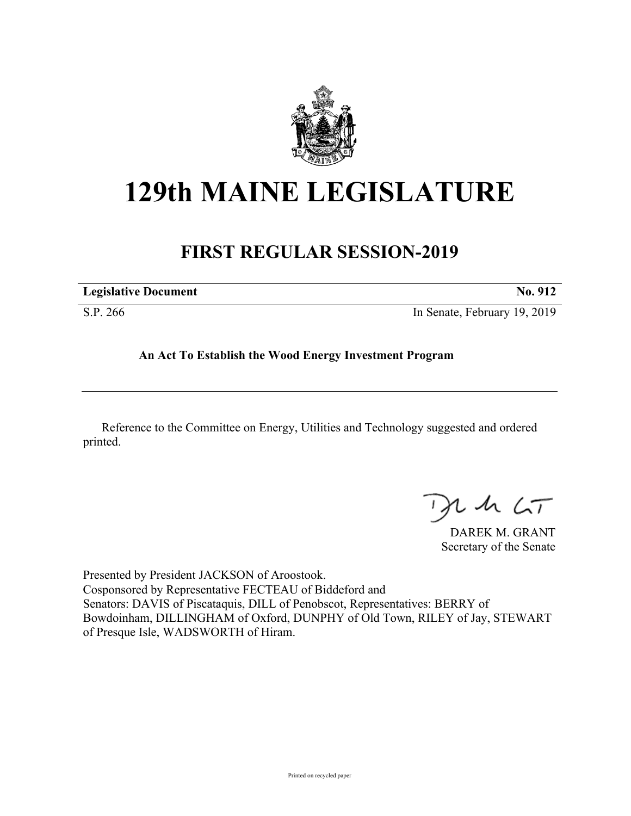

## **129th MAINE LEGISLATURE**

## **FIRST REGULAR SESSION-2019**

| <b>Legislative Document</b> | <b>No. 912</b>               |
|-----------------------------|------------------------------|
| S.P. 266                    | In Senate, February 19, 2019 |

## **An Act To Establish the Wood Energy Investment Program**

Reference to the Committee on Energy, Utilities and Technology suggested and ordered printed.

 $125$ 

DAREK M. GRANT Secretary of the Senate

Presented by President JACKSON of Aroostook. Cosponsored by Representative FECTEAU of Biddeford and Senators: DAVIS of Piscataquis, DILL of Penobscot, Representatives: BERRY of Bowdoinham, DILLINGHAM of Oxford, DUNPHY of Old Town, RILEY of Jay, STEWART of Presque Isle, WADSWORTH of Hiram.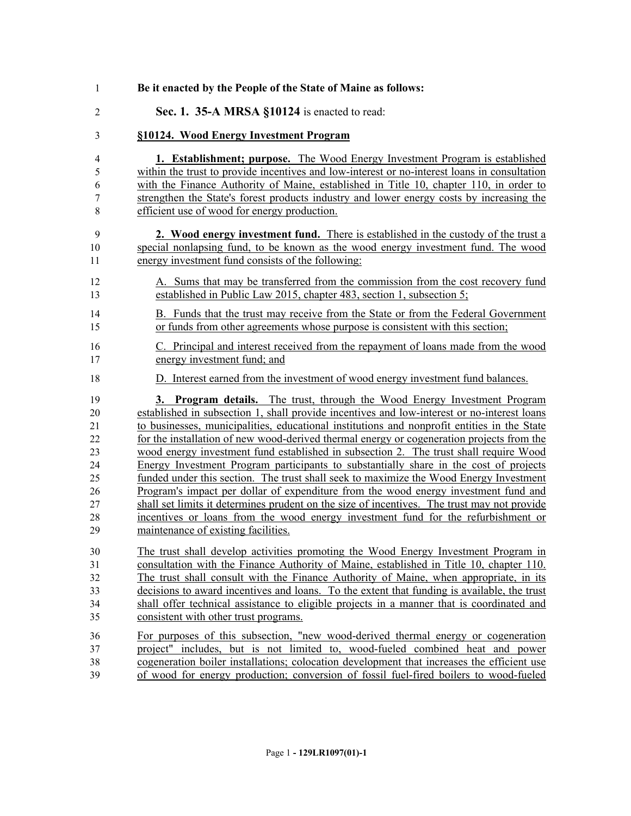| 1              | Be it enacted by the People of the State of Maine as follows:                                |
|----------------|----------------------------------------------------------------------------------------------|
| $\overline{2}$ | Sec. 1. 35-A MRSA §10124 is enacted to read:                                                 |
| 3              | §10124. Wood Energy Investment Program                                                       |
| $\overline{4}$ | 1. Establishment; purpose. The Wood Energy Investment Program is established                 |
| 5              | within the trust to provide incentives and low-interest or no-interest loans in consultation |
| 6              | with the Finance Authority of Maine, established in Title 10, chapter 110, in order to       |
| 7              | strengthen the State's forest products industry and lower energy costs by increasing the     |
| 8              | efficient use of wood for energy production.                                                 |
| 9              | 2. Wood energy investment fund. There is established in the custody of the trust a           |
| 10             | special nonlapsing fund, to be known as the wood energy investment fund. The wood            |
| 11             | energy investment fund consists of the following:                                            |
| 12             | A. Sums that may be transferred from the commission from the cost recovery fund              |
| 13             | established in Public Law 2015, chapter 483, section 1, subsection 5;                        |
| 14             | B. Funds that the trust may receive from the State or from the Federal Government            |
| 15             | or funds from other agreements whose purpose is consistent with this section;                |
| 16             | C. Principal and interest received from the repayment of loans made from the wood            |
| 17             | energy investment fund; and                                                                  |
| 18             | D. Interest earned from the investment of wood energy investment fund balances.              |
| 19             | 3. Program details. The trust, through the Wood Energy Investment Program                    |
| 20             | established in subsection 1, shall provide incentives and low-interest or no-interest loans  |
| 21             | to businesses, municipalities, educational institutions and nonprofit entities in the State  |
| 22             | for the installation of new wood-derived thermal energy or cogeneration projects from the    |
| 23             | wood energy investment fund established in subsection 2. The trust shall require Wood        |
| 24             | Energy Investment Program participants to substantially share in the cost of projects        |
| 25             | funded under this section. The trust shall seek to maximize the Wood Energy Investment       |
| 26             | Program's impact per dollar of expenditure from the wood energy investment fund and          |
| 27             | shall set limits it determines prudent on the size of incentives. The trust may not provide  |
| 28             | incentives or loans from the wood energy investment fund for the refurbishment or            |
| 29             | maintenance of existing facilities.                                                          |
| 30             | The trust shall develop activities promoting the Wood Energy Investment Program in           |
| 31             | consultation with the Finance Authority of Maine, established in Title 10, chapter 110.      |
| 32             | The trust shall consult with the Finance Authority of Maine, when appropriate, in its        |
| 33             | decisions to award incentives and loans. To the extent that funding is available, the trust  |
| 34             | shall offer technical assistance to eligible projects in a manner that is coordinated and    |
| 35             | consistent with other trust programs.                                                        |
| 36             | For purposes of this subsection, "new wood-derived thermal energy or cogeneration            |
| 37             | project" includes, but is not limited to, wood-fueled combined heat and power                |
| 38             | cogeneration boiler installations; colocation development that increases the efficient use   |
| 39             | of wood for energy production; conversion of fossil fuel-fired boilers to wood-fueled        |